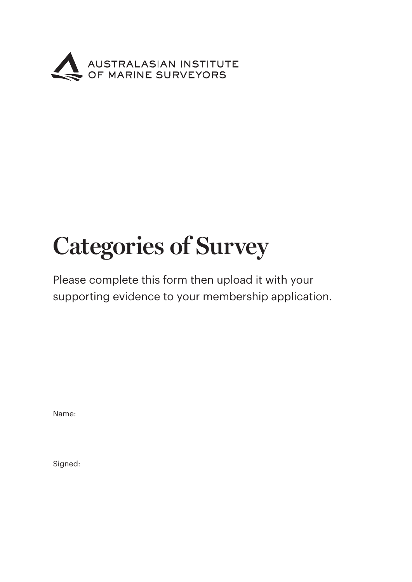

## **Categories of Survey**

Please complete this form then upload it with your supporting evidence to your membership application.

Name:

Signed: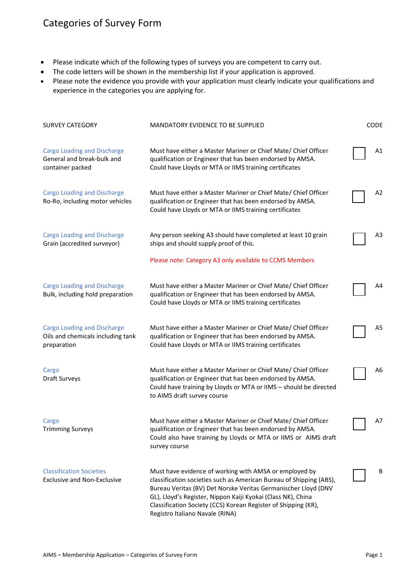## Categories of Survey Form

- Please indicate which of the following types of surveys you are competent to carry out.
- The code letters will be shown in the membership list if your application is approved.
- Please note the evidence you provide with your application must clearly indicate your qualifications and experience in the categories you are applying for.

| <b>SURVEY CATEGORY</b>                                                                 | <b>MANDATORY EVIDENCE TO BE SUPPLIED</b>                                                                                                                                                                                                                                                                                                                             | <b>CODE</b> |
|----------------------------------------------------------------------------------------|----------------------------------------------------------------------------------------------------------------------------------------------------------------------------------------------------------------------------------------------------------------------------------------------------------------------------------------------------------------------|-------------|
| <b>Cargo Loading and Discharge</b><br>General and break-bulk and<br>container packed   | Must have either a Master Mariner or Chief Mate/ Chief Officer<br>qualification or Engineer that has been endorsed by AMSA.<br>Could have Lloyds or MTA or IIMS training certificates                                                                                                                                                                                | Α1          |
| <b>Cargo Loading and Discharge</b><br>Ro-Ro, including motor vehicles                  | Must have either a Master Mariner or Chief Mate/ Chief Officer<br>qualification or Engineer that has been endorsed by AMSA.<br>Could have Lloyds or MTA or IIMS training certificates                                                                                                                                                                                | A2          |
| <b>Cargo Loading and Discharge</b><br>Grain (accredited surveyor)                      | Any person seeking A3 should have completed at least 10 grain<br>ships and should supply proof of this.                                                                                                                                                                                                                                                              | A3          |
|                                                                                        | Please note: Category A3 only available to CCMS Members                                                                                                                                                                                                                                                                                                              |             |
| <b>Cargo Loading and Discharge</b><br>Bulk, including hold preparation                 | Must have either a Master Mariner or Chief Mate/ Chief Officer<br>qualification or Engineer that has been endorsed by AMSA.<br>Could have Lloyds or MTA or IIMS training certificates                                                                                                                                                                                | A4          |
| <b>Cargo Loading and Discharge</b><br>Oils and chemicals including tank<br>preparation | Must have either a Master Mariner or Chief Mate/ Chief Officer<br>qualification or Engineer that has been endorsed by AMSA.<br>Could have Lloyds or MTA or IIMS training certificates                                                                                                                                                                                | A5          |
| Cargo<br>Draft Surveys                                                                 | Must have either a Master Mariner or Chief Mate/ Chief Officer<br>qualification or Engineer that has been endorsed by AMSA.<br>Could have training by Lloyds or MTA or IIMS - should be directed<br>to AIMS draft survey course                                                                                                                                      | A6          |
| Cargo<br><b>Trimming Surveys</b>                                                       | Must have either a Master Mariner or Chief Mate/ Chief Officer<br>qualification or Engineer that has been endorsed by AMSA.<br>Could also have training by Lloyds or MTA or IIMS or AIMS draft<br>survey course                                                                                                                                                      | A7          |
| <b>Classification Societies</b><br><b>Exclusive and Non-Exclusive</b>                  | Must have evidence of working with AMSA or employed by<br>classification societies such as American Bureau of Shipping (ABS),<br>Bureau Veritas (BV) Det Norske Veritas Germanischer Lloyd (DNV<br>GL), Lloyd's Register, Nippon Kaiji Kyokai (Class NK), China<br>Classification Society (CCS) Korean Register of Shipping (KR),<br>Registro Italiano Navale (RINA) | B           |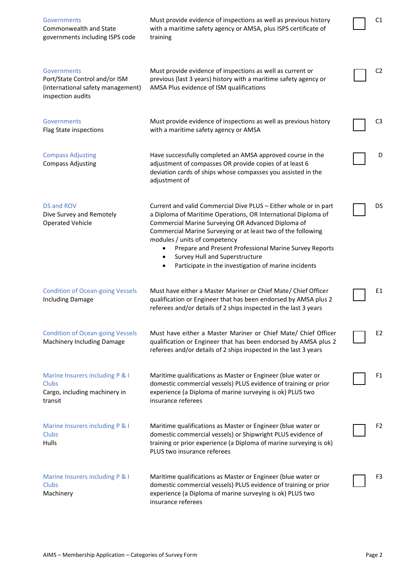| <b>Governments</b><br>Commonwealth and State<br>governments including ISPS code                        | Must provide evidence of inspections as well as previous history<br>with a maritime safety agency or AMSA, plus ISPS certificate of<br>training                                                                                                                                                                                                                                                                                                                | C1             |
|--------------------------------------------------------------------------------------------------------|----------------------------------------------------------------------------------------------------------------------------------------------------------------------------------------------------------------------------------------------------------------------------------------------------------------------------------------------------------------------------------------------------------------------------------------------------------------|----------------|
| Governments<br>Port/State Control and/or ISM<br>(international safety management)<br>inspection audits | Must provide evidence of inspections as well as current or<br>previous (last 3 years) history with a maritime safety agency or<br>AMSA Plus evidence of ISM qualifications                                                                                                                                                                                                                                                                                     | C <sub>2</sub> |
| Governments<br>Flag State inspections                                                                  | Must provide evidence of inspections as well as previous history<br>with a maritime safety agency or AMSA                                                                                                                                                                                                                                                                                                                                                      | C3             |
| <b>Compass Adjusting</b><br><b>Compass Adjusting</b>                                                   | Have successfully completed an AMSA approved course in the<br>adjustment of compasses OR provide copies of at least 6<br>deviation cards of ships whose compasses you assisted in the<br>adjustment of                                                                                                                                                                                                                                                         | D              |
| DS and ROV<br>Dive Survey and Remotely<br><b>Operated Vehicle</b>                                      | Current and valid Commercial Dive PLUS - Either whole or in part<br>a Diploma of Maritime Operations, OR International Diploma of<br>Commercial Marine Surveying OR Advanced Diploma of<br>Commercial Marine Surveying or at least two of the following<br>modules / units of competency<br>Prepare and Present Professional Marine Survey Reports<br>٠<br>Survey Hull and Superstructure<br>$\bullet$<br>Participate in the investigation of marine incidents | DS             |
| <b>Condition of Ocean-going Vessels</b><br><b>Including Damage</b>                                     | Must have either a Master Mariner or Chief Mate/ Chief Officer<br>qualification or Engineer that has been endorsed by AMSA plus 2<br>referees and/or details of 2 ships inspected in the last 3 years                                                                                                                                                                                                                                                          | E1             |
| <b>Condition of Ocean-going Vessels</b><br>Machinery Including Damage                                  | Must have either a Master Mariner or Chief Mate/ Chief Officer<br>qualification or Engineer that has been endorsed by AMSA plus 2<br>referees and/or details of 2 ships inspected in the last 3 years                                                                                                                                                                                                                                                          | E <sub>2</sub> |
| Marine Insurers including P & I<br>Clubs<br>Cargo, including machinery in<br>transit                   | Maritime qualifications as Master or Engineer (blue water or<br>domestic commercial vessels) PLUS evidence of training or prior<br>experience (a Diploma of marine surveying is ok) PLUS two<br>insurance referees                                                                                                                                                                                                                                             | F1             |
| Marine Insurers including P & I<br>Clubs<br>Hulls                                                      | Maritime qualifications as Master or Engineer (blue water or<br>domestic commercial vessels) or Shipwright PLUS evidence of<br>training or prior experience (a Diploma of marine surveying is ok)<br>PLUS two insurance referees                                                                                                                                                                                                                               | F <sub>2</sub> |
| Marine Insurers including P & I<br><b>Clubs</b><br>Machinery                                           | Maritime qualifications as Master or Engineer (blue water or<br>domestic commercial vessels) PLUS evidence of training or prior<br>experience (a Diploma of marine surveying is ok) PLUS two<br>insurance referees                                                                                                                                                                                                                                             | F3             |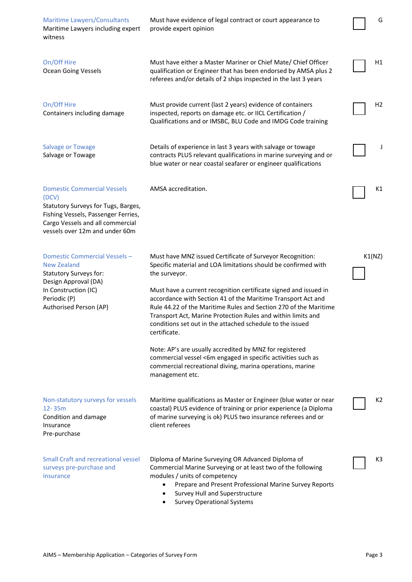| <b>Maritime Lawyers/Consultants</b><br>Maritime Lawyers including expert<br>witness                                                                                                             | Must have evidence of legal contract or court appearance to<br>provide expert opinion                                                                                                                                                                                                                                                                                                                                                                                                                                                                                                                                                                                                                        | G      |
|-------------------------------------------------------------------------------------------------------------------------------------------------------------------------------------------------|--------------------------------------------------------------------------------------------------------------------------------------------------------------------------------------------------------------------------------------------------------------------------------------------------------------------------------------------------------------------------------------------------------------------------------------------------------------------------------------------------------------------------------------------------------------------------------------------------------------------------------------------------------------------------------------------------------------|--------|
| On/Off Hire<br><b>Ocean Going Vessels</b>                                                                                                                                                       | Must have either a Master Mariner or Chief Mate/ Chief Officer<br>qualification or Engineer that has been endorsed by AMSA plus 2<br>referees and/or details of 2 ships inspected in the last 3 years                                                                                                                                                                                                                                                                                                                                                                                                                                                                                                        | Η1     |
| On/Off Hire<br>Containers including damage                                                                                                                                                      | Must provide current (last 2 years) evidence of containers<br>inspected, reports on damage etc. or IICL Certification /<br>Qualifications and or IMSBC, BLU Code and IMDG Code training                                                                                                                                                                                                                                                                                                                                                                                                                                                                                                                      | H2     |
| <b>Salvage or Towage</b><br>Salvage or Towage                                                                                                                                                   | Details of experience in last 3 years with salvage or towage<br>contracts PLUS relevant qualifications in marine surveying and or<br>blue water or near coastal seafarer or engineer qualifications                                                                                                                                                                                                                                                                                                                                                                                                                                                                                                          |        |
| <b>Domestic Commercial Vessels</b><br>(DCV)<br>Statutory Surveys for Tugs, Barges,<br>Fishing Vessels, Passenger Ferries,<br>Cargo Vessels and all commercial<br>vessels over 12m and under 60m | AMSA accreditation.                                                                                                                                                                                                                                                                                                                                                                                                                                                                                                                                                                                                                                                                                          | K1     |
| Domestic Commercial Vessels -<br>New Zealand<br>Statutory Surveys for:<br>Design Approval (DA)<br>In Construction (IC)<br>Periodic (P)<br>Authorised Person (AP)                                | Must have MNZ issued Certificate of Surveyor Recognition:<br>Specific material and LOA limitations should be confirmed with<br>the surveyor.<br>Must have a current recognition certificate signed and issued in<br>accordance with Section 41 of the Maritime Transport Act and<br>Rule 44.22 of the Maritime Rules and Section 270 of the Maritime<br>Transport Act, Marine Protection Rules and within limits and<br>conditions set out in the attached schedule to the issued<br>certificate.<br>Note: AP's are usually accredited by MNZ for registered<br>commercial vessel <6m engaged in specific activities such as<br>commercial recreational diving, marina operations, marine<br>management etc. | K1(NZ) |
| Non-statutory surveys for vessels<br>12-35m<br>Condition and damage<br>Insurance<br>Pre-purchase                                                                                                | Maritime qualifications as Master or Engineer (blue water or near<br>coastal) PLUS evidence of training or prior experience (a Diploma<br>of marine surveying is ok) PLUS two insurance referees and or<br>client referees                                                                                                                                                                                                                                                                                                                                                                                                                                                                                   | K2     |
| <b>Small Craft and recreational vessel</b><br>surveys pre-purchase and<br>insurance                                                                                                             | Diploma of Marine Surveying OR Advanced Diploma of<br>Commercial Marine Surveying or at least two of the following<br>modules / units of competency<br>Prepare and Present Professional Marine Survey Reports<br>Survey Hull and Superstructure<br><b>Survey Operational Systems</b>                                                                                                                                                                                                                                                                                                                                                                                                                         | K3     |